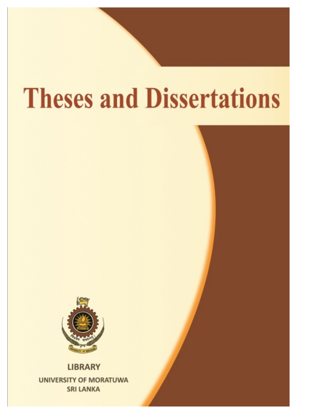# **Theses and Dissertations**



**LIBRARY UNIVERSITY OF MORATUWA SRI LANKA**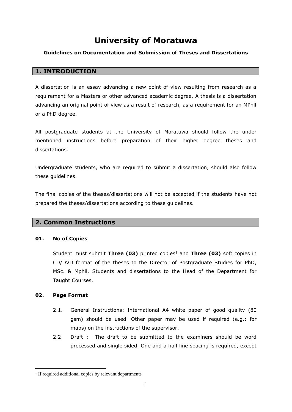## **University of Moratuwa**

## **Guidelines on Documentation and Submission of Theses and Dissertations**

## **1. INTRODUCTION**

A dissertation is an essay advancing a new point of view resulting from research as a requirement for a Masters or other advanced academic degree. A thesis is a dissertation advancing an original point of view as a result of research, as a requirement for an MPhil or a PhD degree.

All postgraduate students at the University of Moratuwa should follow the under mentioned instructions before preparation of their higher degree theses and dissertations.

Undergraduate students, who are required to submit a dissertation, should also follow these guidelines.

The final copies of the theses/dissertations will not be accepted if the students have not prepared the theses/dissertations according to these guidelines.

## **2. Common Instructions**

## **01. No of Copies**

Student must submit **Three (03)** printed copies<sup>1</sup> and **Three (03)** soft copies in CD/DVD format of the theses to the Director of Postgraduate Studies for PhD, MSc. & Mphil. Students and dissertations to the Head of the Department for Taught Courses.

## **02. Page Format**

1

- 2.1. General Instructions: International A4 white paper of good quality (80 gsm) should be used. Other paper may be used if required (e.g.: for maps) on the instructions of the supervisor.
- 2.2 Draft : The draft to be submitted to the examiners should be word processed and single sided. One and a half line spacing is required, except

<sup>&</sup>lt;sup>1</sup> If required additional copies by relevant departments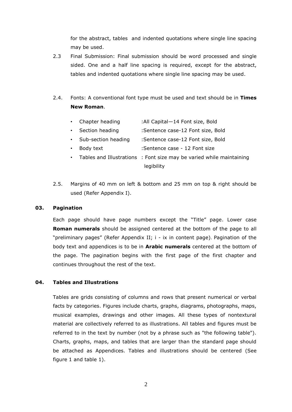for the abstract, tables and indented quotations where single line spacing may be used.

- 2.3 Final Submission: Final submission should be word processed and single sided. One and a half line spacing is required, except for the abstract, tables and indented quotations where single line spacing may be used.
- 2.4. Fonts: A conventional font type must be used and text should be in **Times New Roman**.
	- Chapter heading :All Capital—14 Font size, Bold
	- Section heading :Sentence case-12 Font size, Bold
	- Sub-section heading :Sentence case-12 Font size, Bold
	- Body text :Sentence case 12 Font size
	- Tables and Illustrations : Font size may be varied while maintaining legibility
- 2.5. Margins of 40 mm on left & bottom and 25 mm on top & right should be used (Refer Appendix I).

#### **03. Pagination**

Each page should have page numbers except the "Title" page. Lower case **Roman numerals** should be assigned centered at the bottom of the page to all "preliminary pages" (Refer Appendix II; i - ix in content page). Pagination of the body text and appendices is to be in **Arabic numerals** centered at the bottom of the page. The pagination begins with the first page of the first chapter and continues throughout the rest of the text.

## **04. Tables and Illustrations**

Tables are grids consisting of columns and rows that present numerical or verbal facts by categories. Figures include charts, graphs, diagrams, photographs, maps, musical examples, drawings and other images. All these types of nontextural material are collectively referred to as illustrations. All tables and figures must be referred to in the text by number (not by a phrase such as "the following table"). Charts, graphs, maps, and tables that are larger than the standard page should be attached as Appendices. Tables and illustrations should be centered (See figure 1 and table 1).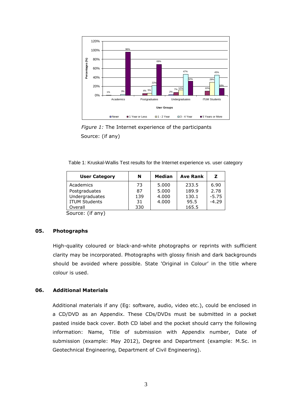

 *Figure 1:* The Internet experience of the participants Source: (if any)

Table 1: Kruskal-Wallis Test results for the Internet experience vs. user category

| <b>User Category</b> | N   | Median | <b>Ave Rank</b> | z       |
|----------------------|-----|--------|-----------------|---------|
| Academics            | 73  | 5.000  | 233.5           | 6.90    |
| Postgraduates        | 87  | 5.000  | 189.9           | 2.78    |
| Undergraduates       | 139 | 4.000  | 130.1           | $-5.75$ |
| <b>ITUM Students</b> | 31  | 4.000  | 95.5            | $-4.29$ |
| Overall              | 330 |        | 165.5           |         |
|                      |     |        |                 |         |

Source: (if any)

#### **05. Photographs**

High-quality coloured or black-and-white photographs or reprints with sufficient clarity may be incorporated. Photographs with glossy finish and dark backgrounds should be avoided where possible. State 'Original in Colour' in the title where colour is used.

#### **06. Additional Materials**

Additional materials if any (Eg: software, audio, video etc.), could be enclosed in a CD/DVD as an Appendix. These CDs/DVDs must be submitted in a pocket pasted inside back cover. Both CD label and the pocket should carry the following information: Name, Title of submission with Appendix number, Date of submission (example: May 2012), Degree and Department (example: M.Sc. in Geotechnical Engineering, Department of Civil Engineering).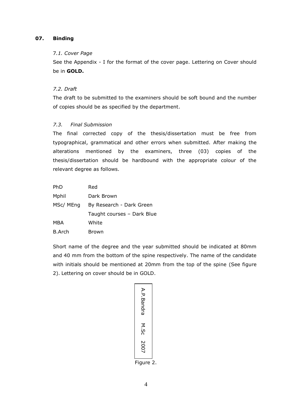## **07. Binding**

#### 7*.1. Cover Page*

See the Appendix - I for the format of the cover page. Lettering on Cover should be in **GOLD.**

## *7.2. Draft*

The draft to be submitted to the examiners should be soft bound and the number of copies should be as specified by the department.

#### *7.3. Final Submission*

The final corrected copy of the thesis/dissertation must be free from typographical, grammatical and other errors when submitted. After making the alterations mentioned by the examiners, three (03) copies of the thesis/dissertation should be hardbound with the appropriate colour of the relevant degree as follows.

| <b>PhD</b>    | Red                        |
|---------------|----------------------------|
| Mphil         | Dark Brown                 |
| MSc/ MEng     | By Research - Dark Green   |
|               | Taught courses - Dark Blue |
| MBA           | White                      |
| <b>B.Arch</b> | Brown                      |

Short name of the degree and the year submitted should be indicated at 80mm and 40 mm from the bottom of the spine respectively. The name of the candidate with initials should be mentioned at 20mm from the top of the spine (See figure 2). Lettering on cover should be in GOLD.

| A.P.Bandra |   |
|------------|---|
| M.Sc       |   |
| 2007       |   |
| Figure     | 2 |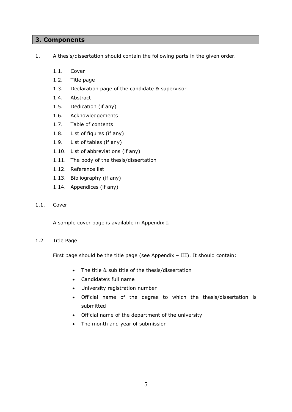## **3. Components**

- 1. A thesis/dissertation should contain the following parts in the given order.
	- 1.1. Cover
	- 1.2. Title page
	- 1.3. Declaration page of the candidate & supervisor
	- 1.4. Abstract
	- 1.5. Dedication (if any)
	- 1.6. Acknowledgements
	- 1.7. Table of contents
	- 1.8. List of figures (if any)
	- 1.9. List of tables (if any)
	- 1.10. List of abbreviations (if any)
	- 1.11. The body of the thesis/dissertation
	- 1.12. Reference list
	- 1.13. Bibliography (if any)
	- 1.14. Appendices (if any)
- 1.1. Cover

A sample cover page is available in Appendix I.

#### 1.2 Title Page

First page should be the title page (see Appendix – III). It should contain;

- The title & sub title of the thesis/dissertation
- Candidate's full name
- University registration number
- Official name of the degree to which the thesis/dissertation is submitted
- Official name of the department of the university
- The month and year of submission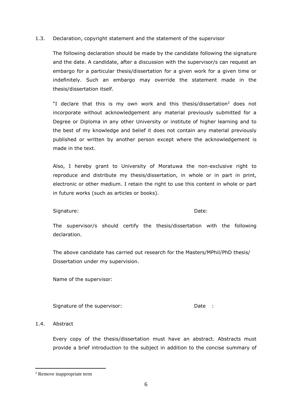#### 1.3. Declaration, copyright statement and the statement of the supervisor

The following declaration should be made by the candidate following the signature and the date. A candidate, after a discussion with the supervisor/s can request an embargo for a particular thesis/dissertation for a given work for a given time or indefinitely. Such an embargo may override the statement made in the thesis/dissertation itself.

"I declare that this is my own work and this thesis/dissertation<sup>2</sup> does not incorporate without acknowledgement any material previously submitted for a Degree or Diploma in any other University or institute of higher learning and to the best of my knowledge and belief it does not contain any material previously published or written by another person except where the acknowledgement is made in the text.

Also, I hereby grant to University of Moratuwa the non-exclusive right to reproduce and distribute my thesis/dissertation, in whole or in part in print, electronic or other medium. I retain the right to use this content in whole or part in future works (such as articles or books).

#### Signature: Date: Date: Date: Date: Date: Date: Date: Date: Date: Date: Date: Date: Date: Date: Date: Date: Date: Date: Date: Date: Date: Date: Date: Date: Date: Date: Date: Date: Date: Date: Date: Date: Date: Date: Date: D

The supervisor/s should certify the thesis/dissertation with the following declaration.

The above candidate has carried out research for the Masters/MPhil/PhD thesis/ Dissertation under my supervision.

Name of the supervisor:

Signature of the supervisor: The Contract of the supervisor: The Date : Date :

## 1.4. Abstract

1

Every copy of the thesis/dissertation must have an abstract. Abstracts must provide a brief introduction to the subject in addition to the concise summary of

<sup>2</sup> Remove inappropriate term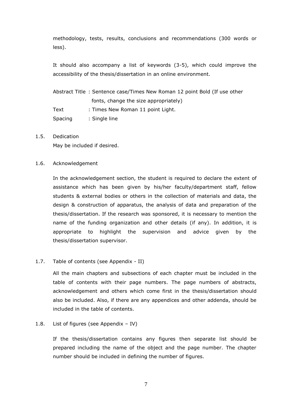methodology, tests, results, conclusions and recommendations (300 words or less).

It should also accompany a list of keywords (3-5), which could improve the accessibility of the thesis/dissertation in an online environment.

Abstract Title : Sentence case/Times New Roman 12 point Bold (If use other fonts, change the size appropriately) Text : Times New Roman 11 point Light. Spacing : Single line

#### 1.5. Dedication

May be included if desired.

#### 1.6. Acknowledgement

In the acknowledgement section, the student is required to declare the extent of assistance which has been given by his/her faculty/department staff, fellow students & external bodies or others in the collection of materials and data, the design & construction of apparatus, the analysis of data and preparation of the thesis/dissertation. If the research was sponsored, it is necessary to mention the name of the funding organization and other details (if any). In addition, it is appropriate to highlight the supervision and advice given by the thesis/dissertation supervisor.

#### 1.7. Table of contents (see Appendix - II)

All the main chapters and subsections of each chapter must be included in the table of contents with their page numbers. The page numbers of abstracts, acknowledgement and others which come first in the thesis/dissertation should also be included. Also, if there are any appendices and other addenda, should be included in the table of contents.

#### 1.8. List of figures (see Appendix – IV)

If the thesis/dissertation contains any figures then separate list should be prepared including the name of the object and the page number. The chapter number should be included in defining the number of figures.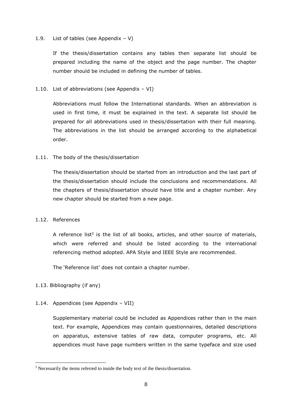## 1.9. List of tables (see Appendix  $- V$ )

If the thesis/dissertation contains any tables then separate list should be prepared including the name of the object and the page number. The chapter number should be included in defining the number of tables.

## 1.10. List of abbreviations (see Appendix – VI)

Abbreviations must follow the International standards. When an abbreviation is used in first time, it must be explained in the text. A separate list should be prepared for all abbreviations used in thesis/dissertation with their full meaning. The abbreviations in the list should be arranged according to the alphabetical order.

## 1.11. The body of the thesis/dissertation

The thesis/dissertation should be started from an introduction and the last part of the thesis/dissertation should include the conclusions and recommendations. All the chapters of thesis/dissertation should have title and a chapter number. Any new chapter should be started from a new page.

## 1.12. References

A reference list<sup>3</sup> is the list of all books, articles, and other source of materials, which were referred and should be listed according to the international referencing method adopted. APA Style and IEEE Style are recommended.

The 'Reference list' does not contain a chapter number.

## 1.13. Bibliography (if any)

1

## 1.14. Appendices (see Appendix – VII)

Supplementary material could be included as Appendices rather than in the main text. For example, Appendices may contain questionnaires, detailed descriptions on apparatus, extensive tables of raw data, computer programs, etc. All appendices must have page numbers written in the same typeface and size used

<sup>&</sup>lt;sup>3</sup> Necessarily the items referred to inside the body text of the thesis/dissertation.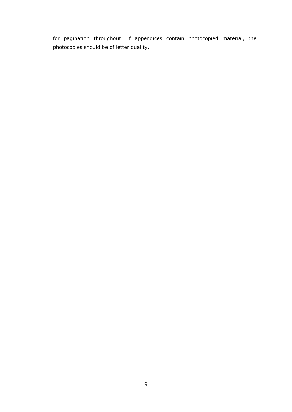for pagination throughout. If appendices contain photocopied material, the photocopies should be of letter quality.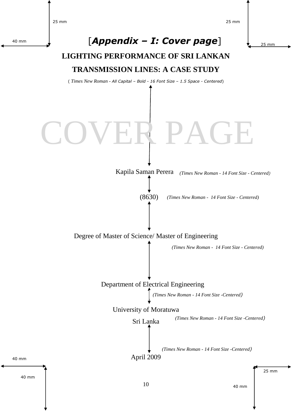25 mm

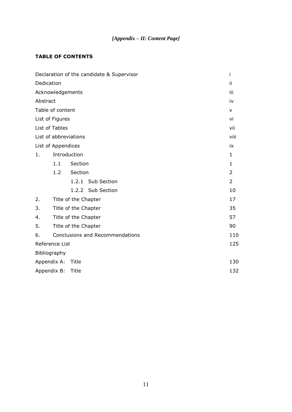## *[Appendix – II: Content Page]*

## **TABLE OF CONTENTS**

|                |                      | Declaration of the candidate & Supervisor | i              |
|----------------|----------------------|-------------------------------------------|----------------|
| Dedication     |                      |                                           | ij             |
|                |                      | Acknowledgements                          | iii            |
| Abstract       |                      |                                           | iv             |
|                | Table of content     |                                           | v              |
|                | List of Figures      |                                           | vi             |
| List of Tables |                      |                                           | vii            |
|                |                      | List of abbreviations                     | viii           |
|                | List of Appendices   |                                           | ix             |
| 1.             |                      | Introduction                              | $\mathbf{1}$   |
|                | 1.1                  | Section                                   | $\mathbf{1}$   |
|                | 1.2                  | Section                                   | 2              |
|                |                      | 1.2.1 Sub Section                         | $\overline{2}$ |
|                |                      | 1.2.2 Sub Section                         | 10             |
| 2.             | Title of the Chapter |                                           | 17             |
| 3.             |                      | Title of the Chapter                      | 35             |
| 4.             |                      | Title of the Chapter                      | 57             |
| 5.             |                      | Title of the Chapter                      | 90             |
| 6.             |                      | <b>Conclusions and Recommendations</b>    | 110            |
|                | Reference List       |                                           | 125            |
| Bibliography   |                      |                                           |                |
| Appendix A:    |                      | Title                                     | 130            |
| Appendix B:    |                      | Title                                     | 132            |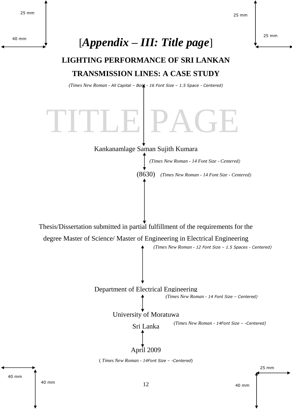25 mm



40 mm